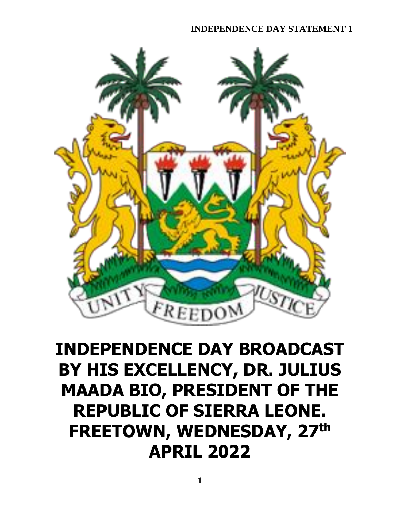

# **INDEPENDENCE DAY BROADCAST BY HIS EXCELLENCY, DR. JULIUS MAADA BIO, PRESIDENT OF THE REPUBLIC OF SIERRA LEONE. FREETOWN, WEDNESDAY, 27th APRIL 2022**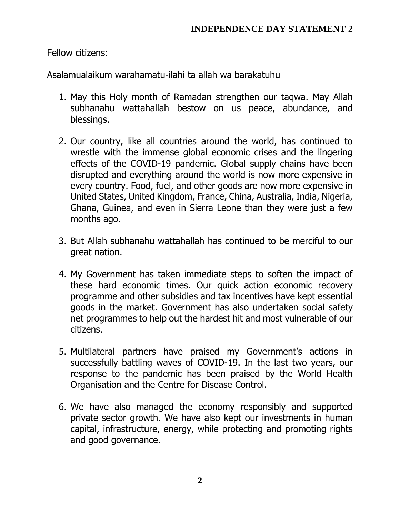Fellow citizens:

Asalamualaikum warahamatu-ilahi ta allah wa barakatuhu

- 1. May this Holy month of Ramadan strengthen our taqwa. May Allah subhanahu wattahallah bestow on us peace, abundance, and blessings.
- 2. Our country, like all countries around the world, has continued to wrestle with the immense global economic crises and the lingering effects of the COVID-19 pandemic. Global supply chains have been disrupted and everything around the world is now more expensive in every country. Food, fuel, and other goods are now more expensive in United States, United Kingdom, France, China, Australia, India, Nigeria, Ghana, Guinea, and even in Sierra Leone than they were just a few months ago.
- 3. But Allah subhanahu wattahallah has continued to be merciful to our great nation.
- 4. My Government has taken immediate steps to soften the impact of these hard economic times. Our quick action economic recovery programme and other subsidies and tax incentives have kept essential goods in the market. Government has also undertaken social safety net programmes to help out the hardest hit and most vulnerable of our citizens.
- 5. Multilateral partners have praised my Government's actions in successfully battling waves of COVID-19. In the last two years, our response to the pandemic has been praised by the World Health Organisation and the Centre for Disease Control.
- 6. We have also managed the economy responsibly and supported private sector growth. We have also kept our investments in human capital, infrastructure, energy, while protecting and promoting rights and good governance.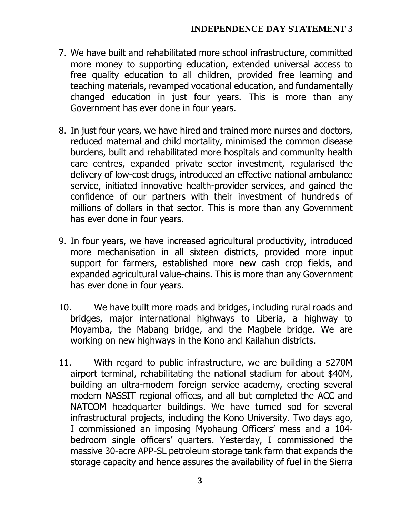- 7. We have built and rehabilitated more school infrastructure, committed more money to supporting education, extended universal access to free quality education to all children, provided free learning and teaching materials, revamped vocational education, and fundamentally changed education in just four years. This is more than any Government has ever done in four years.
- 8. In just four years, we have hired and trained more nurses and doctors, reduced maternal and child mortality, minimised the common disease burdens, built and rehabilitated more hospitals and community health care centres, expanded private sector investment, regularised the delivery of low-cost drugs, introduced an effective national ambulance service, initiated innovative health-provider services, and gained the confidence of our partners with their investment of hundreds of millions of dollars in that sector. This is more than any Government has ever done in four years.
- 9. In four years, we have increased agricultural productivity, introduced more mechanisation in all sixteen districts, provided more input support for farmers, established more new cash crop fields, and expanded agricultural value-chains. This is more than any Government has ever done in four years.
- 10. We have built more roads and bridges, including rural roads and bridges, major international highways to Liberia, a highway to Moyamba, the Mabang bridge, and the Magbele bridge. We are working on new highways in the Kono and Kailahun districts.
- 11. With regard to public infrastructure, we are building a \$270M airport terminal, rehabilitating the national stadium for about \$40M, building an ultra-modern foreign service academy, erecting several modern NASSIT regional offices, and all but completed the ACC and NATCOM headquarter buildings. We have turned sod for several infrastructural projects, including the Kono University. Two days ago, I commissioned an imposing Myohaung Officers' mess and a 104 bedroom single officers' quarters. Yesterday, I commissioned the massive 30-acre APP-SL petroleum storage tank farm that expands the storage capacity and hence assures the availability of fuel in the Sierra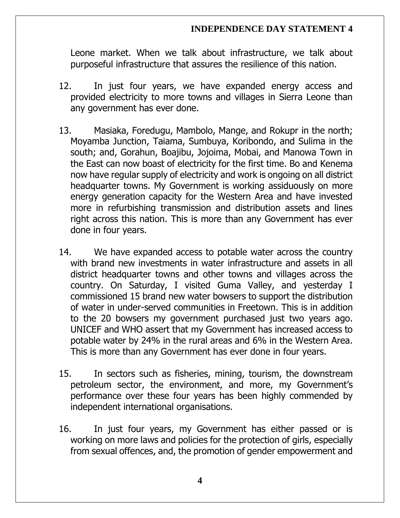Leone market. When we talk about infrastructure, we talk about purposeful infrastructure that assures the resilience of this nation.

- 12. In just four years, we have expanded energy access and provided electricity to more towns and villages in Sierra Leone than any government has ever done.
- 13. Masiaka, Foredugu, Mambolo, Mange, and Rokupr in the north; Moyamba Junction, Taiama, Sumbuya, Koribondo, and Sulima in the south; and, Gorahun, Boajibu, Jojoima, Mobai, and Manowa Town in the East can now boast of electricity for the first time. Bo and Kenema now have regular supply of electricity and work is ongoing on all district headquarter towns. My Government is working assiduously on more energy generation capacity for the Western Area and have invested more in refurbishing transmission and distribution assets and lines right across this nation. This is more than any Government has ever done in four years.
- 14. We have expanded access to potable water across the country with brand new investments in water infrastructure and assets in all district headquarter towns and other towns and villages across the country. On Saturday, I visited Guma Valley, and yesterday I commissioned 15 brand new water bowsers to support the distribution of water in under-served communities in Freetown. This is in addition to the 20 bowsers my government purchased just two years ago. UNICEF and WHO assert that my Government has increased access to potable water by 24% in the rural areas and 6% in the Western Area. This is more than any Government has ever done in four years.
- 15. In sectors such as fisheries, mining, tourism, the downstream petroleum sector, the environment, and more, my Government's performance over these four years has been highly commended by independent international organisations.
- 16. In just four years, my Government has either passed or is working on more laws and policies for the protection of girls, especially from sexual offences, and, the promotion of gender empowerment and